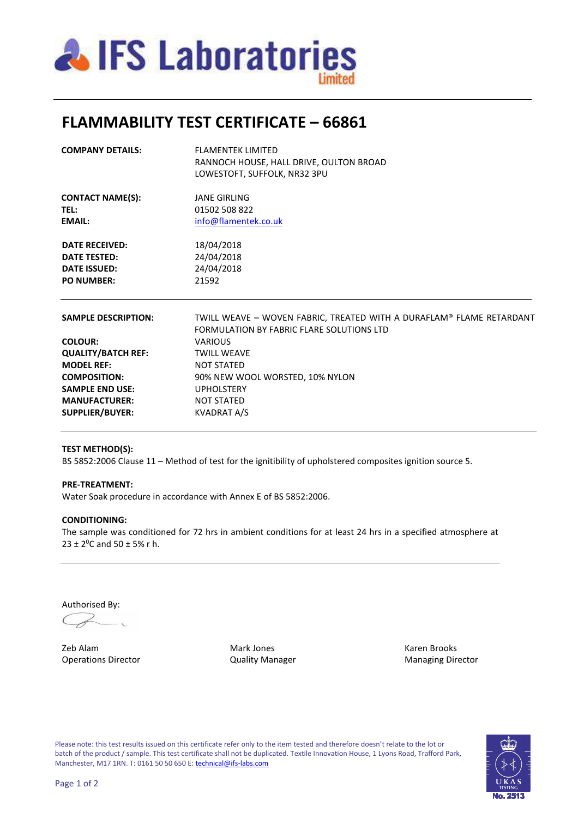

# **FLAMMABILITY TEST CERTIFICATE – 66861**

| <b>COMPANY DETAILS:</b>    | <b>FLAMENTEK LIMITED</b>                                                                                          |  |  |
|----------------------------|-------------------------------------------------------------------------------------------------------------------|--|--|
|                            | RANNOCH HOUSE, HALL DRIVE, OULTON BROAD                                                                           |  |  |
|                            | LOWESTOFT, SUFFOLK, NR32 3PU                                                                                      |  |  |
| <b>CONTACT NAME(S):</b>    | JANF GIRLING                                                                                                      |  |  |
| TEL:                       | 01502 508 822                                                                                                     |  |  |
| <b>EMAIL:</b>              | info@flamentek.co.uk                                                                                              |  |  |
| <b>DATE RECEIVED:</b>      | 18/04/2018                                                                                                        |  |  |
| <b>DATE TESTED:</b>        | 24/04/2018                                                                                                        |  |  |
| <b>DATE ISSUED:</b>        | 24/04/2018                                                                                                        |  |  |
| <b>PO NUMBER:</b>          | 21592                                                                                                             |  |  |
| <b>SAMPLE DESCRIPTION:</b> | TWILL WEAVE - WOVEN FABRIC, TREATED WITH A DURAFLAM® FLAME RETARDANT<br>FORMULATION BY FABRIC FLARE SOLUTIONS LTD |  |  |
| <b>COLOUR:</b>             | <b>VARIOUS</b>                                                                                                    |  |  |
| <b>QUALITY/BATCH REF:</b>  | <b>TWILL WEAVE</b>                                                                                                |  |  |
| <b>MODEL REF:</b>          | <b>NOT STATED</b>                                                                                                 |  |  |
| <b>COMPOSITION:</b>        | 90% NEW WOOL WORSTED, 10% NYLON                                                                                   |  |  |
| <b>SAMPLE END USE:</b>     | <b>UPHOLSTERY</b>                                                                                                 |  |  |
| <b>MANUFACTURER:</b>       | <b>NOT STATED</b>                                                                                                 |  |  |
| <b>SUPPLIER/BUYER:</b>     | <b>KVADRAT A/S</b>                                                                                                |  |  |
|                            |                                                                                                                   |  |  |

### **TEST METHOD(S):**

BS 5852:2006 Clause 11 - Method of test for the ignitibility of upholstered composites ignition source 5.

#### **PRE-TREATMENT:**

Water Soak procedure in accordance with Annex E of BS 5852:2006.

### **CONDITIONING:**

The sample was conditioned for 72 hrs in ambient conditions for at least 24 hrs in a specified atmosphere at  $23 \pm 2^{0}$ C and  $50 \pm 5$ % r h.

Authorised By:

 $C_{\!\mathscr{F}}$ 

Zeb Alam Mark Jones Karen Brooks Operations Director Quality Manager Managing Director